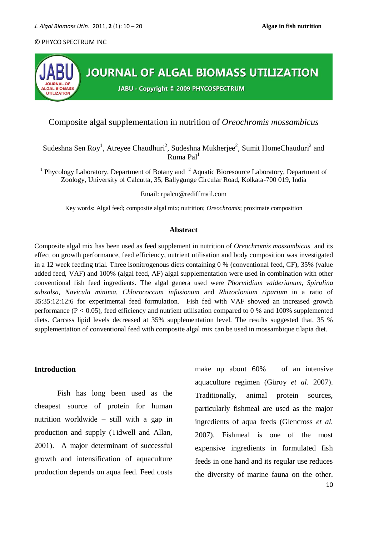

# Composite algal supplementation in nutrition of *Oreochromis mossambicus*

Sudeshna Sen Roy<sup>1</sup>, Atreyee Chaudhuri<sup>2</sup>, Sudeshna Mukherjee<sup>2</sup>, Sumit HomeChauduri<sup>2</sup> and Ruma  $Pal<sup>1</sup>$ 

<sup>1</sup> Phycology Laboratory, Department of Botany and  $2$  Aquatic Bioresource Laboratory, Department of Zoology, University of Calcutta, 35, Ballygunge Circular Road, Kolkata-700 019, India

#### Email: [rpalcu@rediffmail.com](mailto:rpalcu@rediffmail.com)

Key words: Algal feed; composite algal mix; nutrition; *Oreochromis*; proximate composition

#### **Abstract**

Composite algal mix has been used as feed supplement in nutrition of *Oreochromis mossambicus* and its effect on growth performance, feed efficiency, nutrient utilisation and body composition was investigated in a 12 week feeding trial. Three isonitrogenous diets containing 0 % (conventional feed, CF), 35% (value added feed, VAF) and 100% (algal feed, AF) algal supplementation were used in combination with other conventional fish feed ingredients. The algal genera used were *Phormidium valderianum*, *Spirulina subsalsa*, *Navicula minima*, *Chlorococcum infusionum* and *Rhizoclonium riparium* in a ratio of 35:35:12:12:6 for experimental feed formulation. Fish fed with VAF showed an increased growth performance ( $P < 0.05$ ), feed efficiency and nutrient utilisation compared to 0 % and 100% supplemented diets. Carcass lipid levels decreased at 35% supplementation level. The results suggested that, 35 % supplementation of conventional feed with composite algal mix can be used in mossambique tilapia diet.

## **Introduction**

Fish has long been used as the cheapest source of protein for human nutrition worldwide – still with a gap in production and supply (Tidwell and Allan, 2001). A major determinant of successful growth and intensification of aquaculture production depends on aqua feed. Feed costs

make up about 60% of an intensive aquaculture regimen (Güroy *et al*. 2007). Traditionally, animal protein sources, particularly fishmeal are used as the major ingredients of aqua feeds (Glencross *et al.* 2007). Fishmeal is one of the most expensive ingredients in formulated fish feeds in one hand and its regular use reduces the diversity of marine fauna on the other.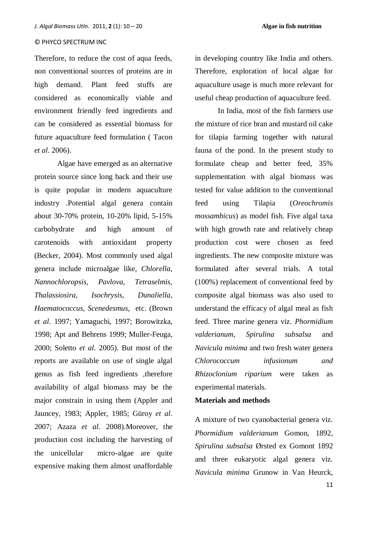Therefore, to reduce the cost of aqua feeds, non conventional sources of proteins are in high demand. Plant feed stuffs are considered as economically viable and environment friendly feed ingredients and can be considered as essential biomass for future aquaculture feed formulation ( Tacon *et al*. 2006).

Algae have emerged as an alternative protein source since long back and their use is quite popular in modern aquaculture industry .Potential algal genera contain about 30-70% protein, 10-20% lipid, 5-15% carbohydrate and high amount of carotenoids with antioxidant property (Becker, 2004). Most commonly used algal genera include microalgae like, *Chlorella*, *Nannochloropsis, Pavlova*, *Tetraselmis*, *Thalassiosira*, *Isochrysis*, *Dunaliella*, *Haematococcus*, *Scenedesmus*, etc. (Brown *et al*. 1997; Yamaguchi, 1997; Borowitzka, 1998; Apt and Behrens 1999; Muller-Feuga, 2000; Soletto *et al*. 2005). But most of the reports are available on use of single algal genus as fish feed ingredients ,therefore availability of algal biomass may be the major constrain in using them (Appler and Jauncey, 1983; Appler, 1985; Güroy *et al*. 2007; Azaza *et al*. 2008).Moreover, the production cost including the harvesting of the unicellular micro-algae are quite expensive making them almost unaffordable

in developing country like India and others. Therefore, exploration of local algae for aquaculture usage is much more relevant for useful cheap production of aquaculture feed.

In India, most of the fish farmers use the mixture of rice bran and mustard oil cake for tilapia farming together with natural fauna of the pond. In the present study to formulate cheap and better feed, 35% supplementation with algal biomass was tested for value addition to the conventional feed using Tilapia (*Oreochromis mossambicus*) as model fish. Five algal taxa with high growth rate and relatively cheap production cost were chosen as feed ingredients. The new composite mixture was formulated after several trials. A total (100%) replacement of conventional feed by composite algal biomass was also used to understand the efficacy of algal meal as fish feed. Three marine genera viz. *Phormidium valderianum, Spirulina subsalsa* and *Navicula minima* and two fresh water genera *Chlorococcum infusionum and Rhizoclonium riparium* were taken as experimental materials.

## **Materials and methods**

A mixture of two cyanobacterial genera viz. *Phormidium valderianum* Gomon, 1892, *Spirulina subsalsa* Ørsted ex Gomont 1892 and three eukaryotic algal genera viz. *Navicula minima* Grunow in Van Heurck,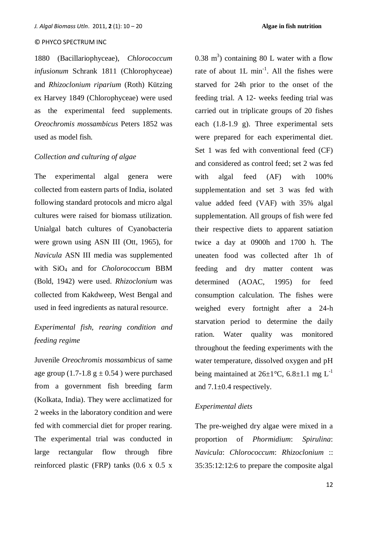1880 (Bacillariophyceae), *Chlorococcum infusionum* Schrank 1811 (Chlorophyceae) and *Rhizoclonium riparium* (Roth) Kützing ex Harvey 1849 (Chlorophyceae) were used as the experimental feed supplements. *Oreochromis mossambicus* Peters 1852 was used as model fish.

## *Collection and culturing of algae*

The experimental algal genera were collected from eastern parts of India, isolated following standard protocols and micro algal cultures were raised for biomass utilization. Unialgal batch cultures of Cyanobacteria were grown using ASN III (Ott, 1965), for *Navicula* ASN III media was supplemented with SiO4 and for *Cholorococcum* BBM (Bold, 1942) were used. *Rhizoclonium* was collected from Kakdweep, West Bengal and used in feed ingredients as natural resource.

# *Experimental fish, rearing condition and feeding regime*

Juvenile *Oreochromis mossambicus* of same age group (1.7-1.8  $g \pm 0.54$ ) were purchased from a government fish breeding farm (Kolkata, India). They were acclimatized for 2 weeks in the laboratory condition and were fed with commercial diet for proper rearing. The experimental trial was conducted in large rectangular flow through fibre reinforced plastic (FRP) tanks (0.6 x 0.5 x

 $0.38 \text{ m}^3$ ) containing 80 L water with a flow rate of about  $1L \text{ min}^{-1}$ . All the fishes were starved for 24h prior to the onset of the feeding trial. A 12- weeks feeding trial was carried out in triplicate groups of 20 fishes each (1.8-1.9 g). Three experimental sets were prepared for each experimental diet. Set 1 was fed with conventional feed (CF) and considered as control feed; set 2 was fed with algal feed (AF) with 100% supplementation and set 3 was fed with value added feed (VAF) with 35% algal supplementation. All groups of fish were fed their respective diets to apparent satiation twice a day at 0900h and 1700 h. The uneaten food was collected after 1h of feeding and dry matter content was determined (AOAC, 1995) for feed consumption calculation. The fishes were weighed every fortnight after a 24-h starvation period to determine the daily ration. Water quality was monitored throughout the feeding experiments with the water temperature, dissolved oxygen and pH being maintained at  $26\pm1\degree C$ ,  $6.8\pm1.1$  mg L<sup>-1</sup> and  $7.1 \pm 0.4$  respectively.

## *Experimental diets*

The pre-weighed dry algae were mixed in a proportion of *Phormidium*: *Spirulina*: *Navicula*: *Chlorococcum*: *Rhizoclonium* :: 35:35:12:12:6 to prepare the composite algal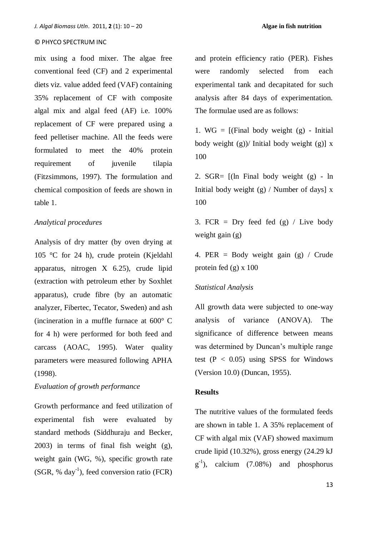mix using a food mixer. The algae free conventional feed (CF) and 2 experimental diets viz. value added feed (VAF) containing 35% replacement of CF with composite algal mix and algal feed (AF) i.e. 100% replacement of CF were prepared using a feed pelletiser machine. All the feeds were formulated to meet the 40% protein requirement of juvenile tilapia (Fitzsimmons, 1997). The formulation and chemical composition of feeds are shown in table 1.

## *Analytical procedures*

Analysis of dry matter (by oven drying at 105 °C for 24 h), crude protein (Kjeldahl apparatus, nitrogen X 6.25), crude lipid (extraction with petroleum ether by Soxhlet apparatus), crude fibre (by an automatic analyzer, Fibertec, Tecator, Sweden) and ash (incineration in a muffle furnace at 600° C for 4 h) were performed for both feed and carcass (AOAC, 1995). Water quality parameters were measured following APHA (1998).

## *Evaluation of growth performance*

Growth performance and feed utilization of experimental fish were evaluated by standard methods (Siddhuraju and Becker, 2003) in terms of final fish weight (g), weight gain (WG, %), specific growth rate (SGR, % day-1 ), feed conversion ratio (FCR)

and protein efficiency ratio (PER). Fishes were randomly selected from each experimental tank and decapitated for such analysis after 84 days of experimentation. The formulae used are as follows:

1. WG =  $[(Final body weight (g) - Initial)]$ body weight (g))/ Initial body weight (g)]  $\bar{x}$ 100

2. SGR= [(ln Final body weight (g) - ln Initial body weight  $(g)$  / Number of days] x 100

3. FCR = Dry feed fed  $(g)$  / Live body weight gain (g)

4. PER = Body weight gain (g) / Crude protein fed  $(g)$  x 100

#### *Statistical Analysis*

All growth data were subjected to one-way analysis of variance (ANOVA). The significance of difference between means was determined by Duncan's multiple range test  $(P < 0.05)$  using SPSS for Windows (Version 10.0) (Duncan, 1955).

## **Results**

The nutritive values of the formulated feeds are shown in table 1. A 35% replacement of CF with algal mix (VAF) showed maximum crude lipid (10.32%), gross energy (24.29 kJ  $g^{-1}$ ), calcium (7.08%) and phosphorus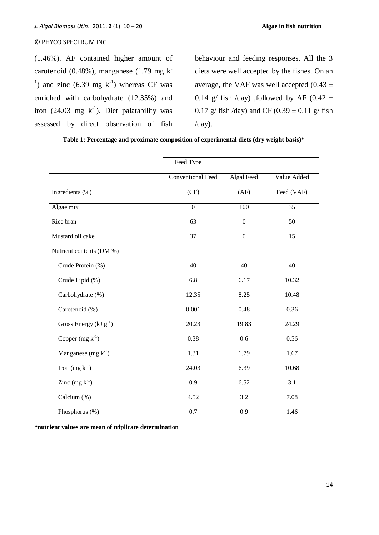(1.46%). AF contained higher amount of carotenoid (0.48%), manganese (1.79 mg k<sup>-</sup> <sup>1</sup>) and zinc  $(6.39 \text{ mg k}^{-1})$  whereas CF was enriched with carbohydrate (12.35%) and iron (24.03 mg  $k^{-1}$ ). Diet palatability was assessed by direct observation of fish

behaviour and feeding responses. All the 3 diets were well accepted by the fishes. On an average, the VAF was well accepted  $(0.43 \pm$ 0.14 g/ fish /day) , followed by AF (0.42  $\pm$ 0.17 g/ fish /day) and CF (0.39  $\pm$  0.11 g/ fish /day).

|                              | Feed Type                |                   |             |  |
|------------------------------|--------------------------|-------------------|-------------|--|
|                              | <b>Conventional Feed</b> | <b>Algal Feed</b> | Value Added |  |
| Ingredients (%)              | (CF)                     | (AF)              | Feed (VAF)  |  |
| Algae mix                    | $\mathbf{0}$             | 100               | 35          |  |
| Rice bran                    | 63                       | $\boldsymbol{0}$  | 50          |  |
| Mustard oil cake             | 37                       | $\boldsymbol{0}$  | 15          |  |
| Nutrient contents (DM %)     |                          |                   |             |  |
| Crude Protein (%)            | 40                       | 40                | 40          |  |
| Crude Lipid (%)              | 6.8                      | 6.17              | 10.32       |  |
| Carbohydrate (%)             | 12.35                    | 8.25              | 10.48       |  |
| Carotenoid (%)               | 0.001                    | 0.48              | 0.36        |  |
| Gross Energy ( $kJ g^{-1}$ ) | 20.23                    | 19.83             | 24.29       |  |
| Copper $(mg k^{-1})$         | 0.38                     | 0.6               | 0.56        |  |
| Manganese $(mg k^{-1})$      | 1.31                     | 1.79              | 1.67        |  |
| Iron $(mg k^{-1})$           | 24.03                    | 6.39              | 10.68       |  |
| Zinc $(mg k^{-1})$           | 0.9                      | 6.52              | 3.1         |  |
| Calcium (%)                  | 4.52                     | 3.2               | 7.08        |  |
| Phosphorus (%)               | 0.7                      | 0.9               | 1.46        |  |

**Table 1: Percentage and proximate composition of experimental diets (dry weight basis)\***

**\*nutrient values are mean of triplicate determination**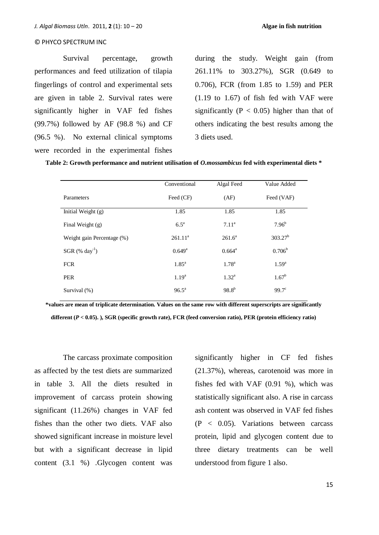Survival percentage, growth performances and feed utilization of tilapia fingerlings of control and experimental sets are given in table 2. Survival rates were significantly higher in VAF fed fishes (99.7%) followed by AF (98.8 %) and CF (96.5 %). No external clinical symptoms were recorded in the experimental fishes

during the study. Weight gain (from 261.11% to 303.27%), SGR (0.649 to 0.706), FCR (from 1.85 to 1.59) and PER (1.19 to 1.67) of fish fed with VAF were significantly ( $P < 0.05$ ) higher than that of others indicating the best results among the 3 diets used.

**Table 2: Growth performance and nutrient utilisation of** *O.mossambicus* **fed with experimental diets \***

|                               | Conventional       | Algal Feed         | Value Added     |
|-------------------------------|--------------------|--------------------|-----------------|
| Parameters                    | Feed (CF)          | (AF)               | Feed (VAF)      |
| Initial Weight $(g)$          | 1.85               | 1.85               | 1.85            |
| Final Weight $(g)$            | $6.5^{\mathrm{a}}$ | 7.11 <sup>a</sup>  | $7.96^{b}$      |
| Weight gain Percentage (%)    | $261.11^a$         | $261.6^a$          | $303.27^b$      |
| SGR $(\%$ day <sup>-1</sup> ) | $0.649^{\rm a}$    | $0.664^{\text{a}}$ | $0.706^{\rm b}$ |
| <b>FCR</b>                    | 1.85 <sup>a</sup>  | $1.78^{\rm a}$     | $1.59^{a}$      |
| <b>PER</b>                    | $1.19^{a}$         | $1.32^{\rm a}$     | $1.67^{\rm b}$  |
| Survival (%)                  | $96.5^{\text{a}}$  | $98.8^{b}$         | $99.7^{\circ}$  |

**\*values are mean of triplicate determination. Values on the same row with different superscripts are significantly different (***P* **< 0.05). ), SGR (specific growth rate), FCR (feed conversion ratio), PER (protein efficiency ratio)**

The carcass proximate composition as affected by the test diets are summarized in table 3. All the diets resulted in improvement of carcass protein showing significant (11.26%) changes in VAF fed fishes than the other two diets. VAF also showed significant increase in moisture level but with a significant decrease in lipid content (3.1 %) .Glycogen content was

significantly higher in CF fed fishes (21.37%), whereas, carotenoid was more in fishes fed with VAF (0.91 %), which was statistically significant also. A rise in carcass ash content was observed in VAF fed fishes (P < 0.05). Variations between carcass protein, lipid and glycogen content due to three dietary treatments can be well understood from figure 1 also.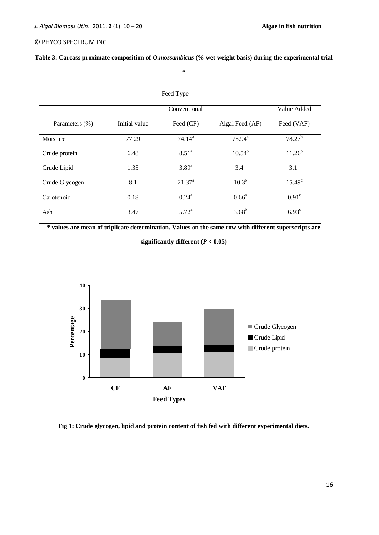| Table 3: Carcass proximate composition of <i>O.mossambicus</i> (% wet weight basis) during the experimental trial |  |  |  |  |
|-------------------------------------------------------------------------------------------------------------------|--|--|--|--|
|-------------------------------------------------------------------------------------------------------------------|--|--|--|--|

**\***

|                |               | Feed Type         |                    |                 |
|----------------|---------------|-------------------|--------------------|-----------------|
|                |               |                   |                    |                 |
|                |               | Conventional      |                    | Value Added     |
| Parameters (%) | Initial value | Feed (CF)         | Algal Feed (AF)    | Feed (VAF)      |
| Moisture       | 77.29         | $74.14^a$         | $75.94^{\text{a}}$ | $78.27^{b}$     |
| Crude protein  | 6.48          | 8.51 <sup>a</sup> | $10.54^{b}$        | $11.26^{b}$     |
| Crude Lipid    | 1.35          | $3.89^{a}$        | $3.4^b$            | $3.1^b$         |
| Crude Glycogen | 8.1           | $21.37^{\circ}$   | $10.3^{b}$         | $15.49^{\circ}$ |
| Carotenoid     | 0.18          | $0.24^{\rm a}$    | $0.66^{\rm b}$     | $0.91^\circ$    |
| Ash            | 3.47          | $5.72^{\rm a}$    | $3.68^{b}$         | $6.93^{\circ}$  |

**\* values are mean of triplicate determination. Values on the same row with different superscripts are** 

**significantly different (***P* **< 0.05)**



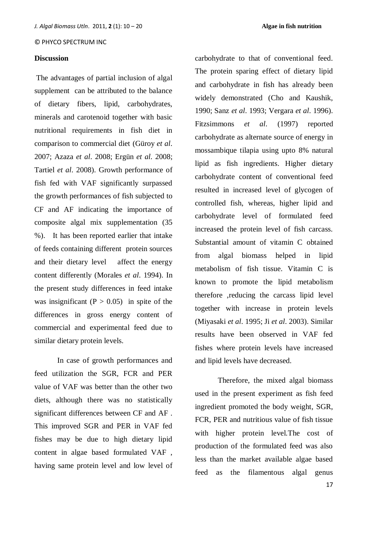#### **Discussion**

The advantages of partial inclusion of algal supplement can be attributed to the balance of dietary fibers, lipid, carbohydrates, minerals and carotenoid together with basic nutritional requirements in fish diet in comparison to commercial diet (Güroy *et al*. 2007; Azaza *et al*. 2008; Ergün *et al*. 2008; Tartiel *et al*. 2008). Growth performance of fish fed with VAF significantly surpassed the growth performances of fish subjected to CF and AF indicating the importance of composite algal mix supplementation (35 %). It has been reported earlier that intake of feeds containing different protein sources and their dietary level affect the energy content differently (Morales *et al*. 1994). In the present study differences in feed intake was insignificant  $(P > 0.05)$  in spite of the differences in gross energy content of commercial and experimental feed due to similar dietary protein levels.

In case of growth performances and feed utilization the SGR, FCR and PER value of VAF was better than the other two diets, although there was no statistically significant differences between CF and AF . This improved SGR and PER in VAF fed fishes may be due to high dietary lipid content in algae based formulated VAF , having same protein level and low level of

carbohydrate to that of conventional feed. The protein sparing effect of dietary lipid and carbohydrate in fish has already been widely demonstrated (Cho and Kaushik, 1990; Sanz *et al*. 1993; Vergara *et al*. 1996). Fitzsimmons *et al*. (1997) reported carbohydrate as alternate source of energy in mossambique tilapia using upto 8% natural lipid as fish ingredients. Higher dietary carbohydrate content of conventional feed resulted in increased level of glycogen of controlled fish, whereas, higher lipid and carbohydrate level of formulated feed increased the protein level of fish carcass. Substantial amount of vitamin C obtained from algal biomass helped in lipid metabolism of fish tissue. Vitamin C is known to promote the lipid metabolism therefore ,reducing the carcass lipid level together with increase in protein levels (Miyasaki *et al*. 1995; Ji *et al*. 2003). Similar results have been observed in VAF fed fishes where protein levels have increased and lipid levels have decreased.

Therefore, the mixed algal biomass used in the present experiment as fish feed ingredient promoted the body weight, SGR, FCR, PER and nutritious value of fish tissue with higher protein level.The cost of production of the formulated feed was also less than the market available algae based feed as the filamentous algal genus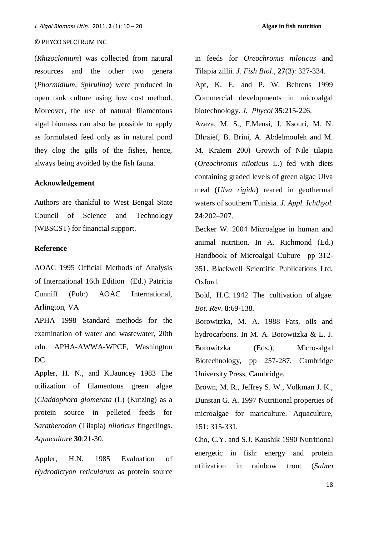(*Rhizoclonium*) was collected from natural resources and the other two genera (*Phormidium*, *Spirulina*) were produced in open tank culture using low cost method. Moreover, the use of natural filamentous algal biomass can also be possible to apply as formulated feed only as in natural pond they clog the gills of the fishes, hence, always being avoided by the fish fauna.

## **Acknowledgement**

Authors are thankful to West Bengal State Council of Science and Technology (WBSCST) for financial support.

## **Reference**

AOAC 1995 Official Methods of Analysis of International 16th Edition (Ed.) Patricia Cunniff (Pub:) AOAC International, Arlington, VA

APHA 1998 Standard methods for the examination of water and wastewater, 20th edn. APHA-AWWA-WPCF, Washington DC

Appler, H. N., and K.Jauncey 1983 The utilization of filamentous green algae (*Claddophora glomerata* (L) (Kutzing) as a protein source in pelleted feeds for *Saratherodon* (Tilapia) *niloticus* fingerlings. *Aquaculture* **30**:21-30.

Appler, H.N. 1985 Evaluation of *Hydrodictyon reticulatum* as protein source in feeds for *Oreochromis niloticus* and Tilapia zillii. *J. Fish Biol*., **27**(3): 327-334.

Apt, K. E. and P. W. Behrens 1999 Commercial developments in microalgal biotechnology. *J. Phycol* **35**:215-226.

Azaza, M. S., F.Mensi, J. Ksouri, M. N. Dhraief, B. Brini, A. Abdelmouleh and M. M. Kraïem 200) Growth of Nile tilapia (*Oreochromis niloticus* L.) fed with diets containing graded levels of green algae Ulva meal (*Ulva rigida*) reared in geothermal waters of southern Tunisia. *J. Appl. Ichthyol.* **24**:202–207.

Becker W. 2004 Microalgae in human and animal nutrition. In A. Richmond (Ed.) Handbook of Microalgal Culture pp 312- 351. Blackwell Scientific Publications Ltd, Oxford.

Bold, H.C. 1942 The cultivation of algae. *Bot. Rev*. **8**:69-138.

Borowitzka, M. A. 1988 Fats, oils and hydrocarbons. In M. A. Borowitzka & L. J. Borowitzka (Eds.), Micro-algal Biotechnology, pp 257-287. Cambridge University Press, Cambridge.

Brown, M. R., Jeffrey S. W., Volkman J. K., Dunstan G. A. 1997 Nutritional properties of microalgae for mariculture. Aquaculture, 151: 315-331.

[Cho,](http://www.sciencedirect.com/science?_ob=ArticleURL&_udi=B6T4D-3X1W66Y-Y&_user=2230991&_coverDate=09%2F01%2F1999&_rdoc=1&_fmt=high&_orig=search&_origin=search&_sort=d&_docanchor=&view=c&_searchStrId=1644842016&_rerunOrigin=google&_acct=C000056666&_version=1&_urlVersion=0&_userid=2230991&md5=bfa76bfa9fb742751fbdf80e7448acaa&searchtype=a#bb4) C.Y. and S.J. Kaushik 1990 Nutritional energetic in fish: energy and protein utilization in rainbow trout (*Salmo*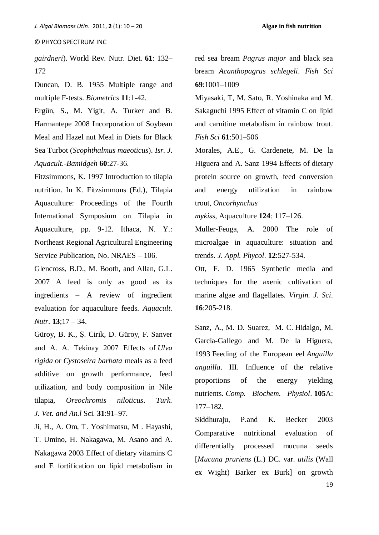*gairdneri*). World Rev. Nutr. Diet. **61**: 132– 172

Duncan, D. B. 1955 Multiple range and multiple F-tests. *Biometrics* **11**:1-42.

Ergün, S., M. Yigit, A. Turker and B. Harmantepe 2008 Incorporation of Soybean Meal and Hazel nut Meal in Diets for Black Sea Turbot (*Scophthalmus maeoticus*). *Isr. J. Aquacult.-Bamidgeh* **60**:27-36.

Fitzsimmons, K. 1997 Introduction to tilapia nutrition. In K. Fitzsimmons (Ed.), Tilapia Aquaculture: Proceedings of the Fourth International Symposium on Tilapia in Aquaculture, pp. 9-12. Ithaca, N. Y.: Northeast Regional Agricultural Engineering Service Publication, No. NRAES – 106.

Glencross, B.D., M. Booth, and Allan, G.L. 2007 A feed is only as good as its ingredients – A review of ingredient evaluation for aquaculture feeds. *Aquacult. Nutr*. **13**;17 – 34.

Güroy, B. K., Ş. Cirik, D. Güroy, F. Sanver and A. A. Tekinay 2007 Effects of *Ulva rigida* or *Cystoseira barbata* meals as a feed additive on growth performance, feed utilization, and body composition in Nile tilapia, *Oreochromis niloticus*. *Turk. J. Vet. and An.l* Sci. **31**:91–97.

Ji, H., A. Om, T. Yoshimatsu, M . Hayashi, T. Umino, H. Nakagawa, M. Asano and A. Nakagawa 2003 Effect of dietary vitamins C and E fortification on lipid metabolism in red sea bream *Pagrus major* and black sea bream *Acanthopagrus schlegeli*. *Fish Sci* **69**:1001–1009

Miyasaki, T, M. Sato, R. Yoshinaka and M. Sakaguchi 1995 Effect of vitamin C on lipid and carnitine metabolism in rainbow trout. *Fish Sci* **61**:501–506

Morales, A.E., G. Cardenete, M. De la Higuera and A. Sanz 1994 Effects of dietary protein source on growth, feed conversion and energy utilization in rainbow trout, *Oncorhynchus* 

*mykiss*, Aquaculture **124**: 117–126.

Muller-Feuga, A. 2000 The role of microalgae in aquaculture: situation and trends. *J. Appl. Phycol*. **12**:527-534.

Ott, F. D. 1965 Synthetic media and techniques for the axenic cultivation of marine algae and flagellates. *Virgin. J. Sci*. **16**:205-218.

Sanz, A., M. D. Suarez, M. C. Hidalgo, M. García-Gallego and M. De la Higuera, 1993 Feeding of the European eel *Anguilla anguilla*. III. Influence of the relative proportions of the energy yielding nutrients. *Comp. Biochem. Physiol*. **105**A: 177–182.

Siddhuraju, P.and K. Becker 2003 Comparative nutritional evaluation of differentially processed mucuna seeds [*Mucuna pruriens* (L.) DC. var. *utilis* (Wall ex Wight) Barker ex Burk] on growth